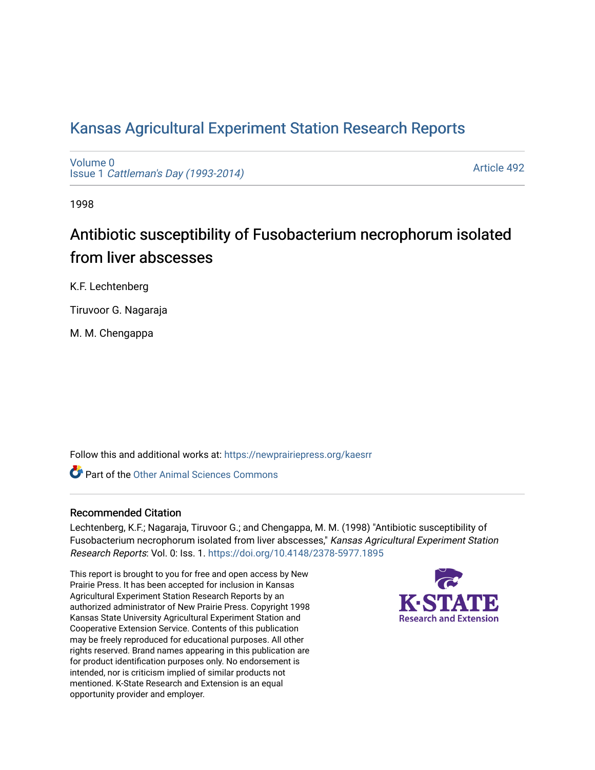# [Kansas Agricultural Experiment Station Research Reports](https://newprairiepress.org/kaesrr)

[Volume 0](https://newprairiepress.org/kaesrr/vol0) Issue 1 [Cattleman's Day \(1993-2014\)](https://newprairiepress.org/kaesrr/vol0/iss1) 

[Article 492](https://newprairiepress.org/kaesrr/vol0/iss1/492) 

1998

# Antibiotic susceptibility of Fusobacterium necrophorum isolated from liver abscesses

K.F. Lechtenberg

Tiruvoor G. Nagaraja

M. M. Chengappa

Follow this and additional works at: [https://newprairiepress.org/kaesrr](https://newprairiepress.org/kaesrr?utm_source=newprairiepress.org%2Fkaesrr%2Fvol0%2Fiss1%2F492&utm_medium=PDF&utm_campaign=PDFCoverPages) 

**C** Part of the [Other Animal Sciences Commons](http://network.bepress.com/hgg/discipline/82?utm_source=newprairiepress.org%2Fkaesrr%2Fvol0%2Fiss1%2F492&utm_medium=PDF&utm_campaign=PDFCoverPages)

#### Recommended Citation

Lechtenberg, K.F.; Nagaraja, Tiruvoor G.; and Chengappa, M. M. (1998) "Antibiotic susceptibility of Fusobacterium necrophorum isolated from liver abscesses," Kansas Agricultural Experiment Station Research Reports: Vol. 0: Iss. 1.<https://doi.org/10.4148/2378-5977.1895>

This report is brought to you for free and open access by New Prairie Press. It has been accepted for inclusion in Kansas Agricultural Experiment Station Research Reports by an authorized administrator of New Prairie Press. Copyright 1998 Kansas State University Agricultural Experiment Station and Cooperative Extension Service. Contents of this publication may be freely reproduced for educational purposes. All other rights reserved. Brand names appearing in this publication are for product identification purposes only. No endorsement is intended, nor is criticism implied of similar products not mentioned. K-State Research and Extension is an equal opportunity provider and employer.

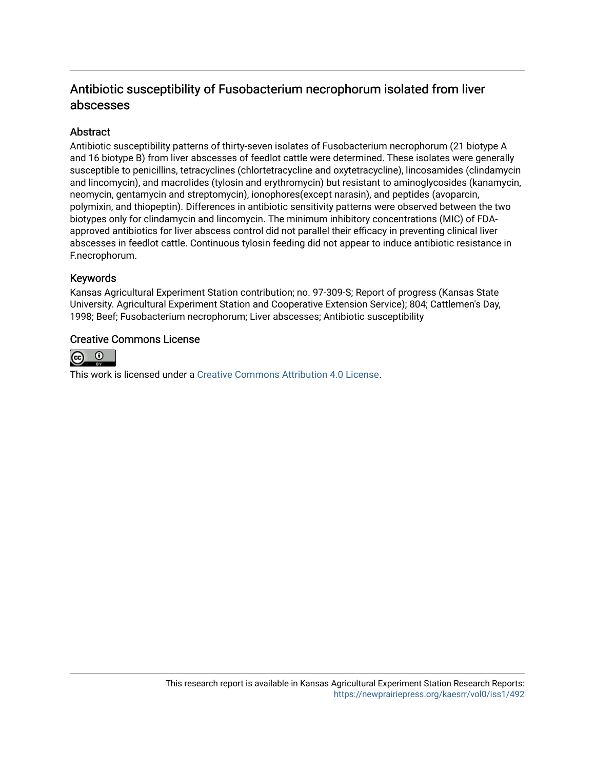## Antibiotic susceptibility of Fusobacterium necrophorum isolated from liver abscesses

## **Abstract**

Antibiotic susceptibility patterns of thirty-seven isolates of Fusobacterium necrophorum (21 biotype A and 16 biotype B) from liver abscesses of feedlot cattle were determined. These isolates were generally susceptible to penicillins, tetracyclines (chlortetracycline and oxytetracycline), lincosamides (clindamycin and lincomycin), and macrolides (tylosin and erythromycin) but resistant to aminoglycosides (kanamycin, neomycin, gentamycin and streptomycin), ionophores(except narasin), and peptides (avoparcin, polymixin, and thiopeptin). Differences in antibiotic sensitivity patterns were observed between the two biotypes only for clindamycin and lincomycin. The minimum inhibitory concentrations (MIC) of FDAapproved antibiotics for liver abscess control did not parallel their efficacy in preventing clinical liver abscesses in feedlot cattle. Continuous tylosin feeding did not appear to induce antibiotic resistance in F.necrophorum.

#### Keywords

Kansas Agricultural Experiment Station contribution; no. 97-309-S; Report of progress (Kansas State University. Agricultural Experiment Station and Cooperative Extension Service); 804; Cattlemen's Day, 1998; Beef; Fusobacterium necrophorum; Liver abscesses; Antibiotic susceptibility

#### Creative Commons License



This work is licensed under a [Creative Commons Attribution 4.0 License](https://creativecommons.org/licenses/by/4.0/).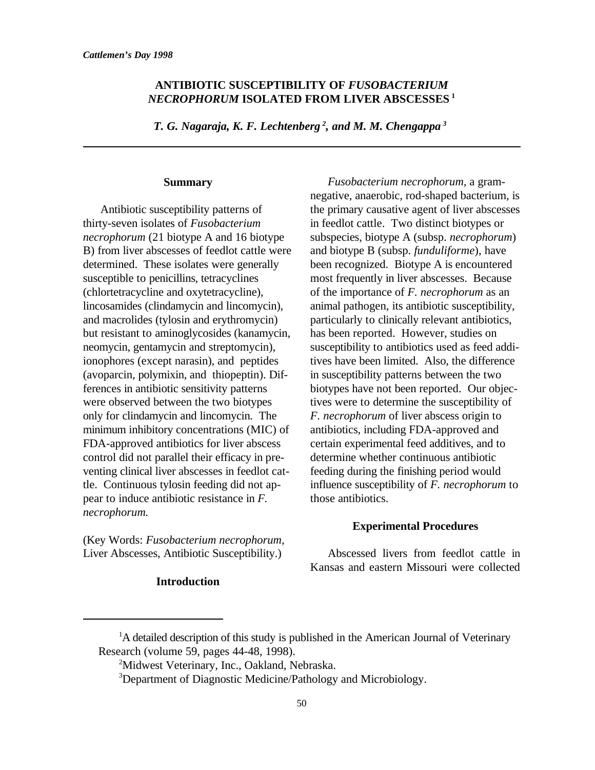## **ANTIBIOTIC SUSCEPTIBILITY OF** *FUSOBACTERIUM NECROPHORUM* **ISOLATED FROM LIVER ABSCESSES <sup>1</sup>**

*T. G. Nagaraja, K. F. Lechtenberg*<sup>2</sup>, and *M. M. Chengappa*<sup>3</sup>

#### **Summary**

thirty-seven isolates of *Fusobacterium* in feedlot cattle. Two distinct biotypes or *necrophorum* (21 biotype A and 16 biotype subspecies, biotype A (subsp. *necrophorum*) B) from liver abscesses of feedlot cattle were and biotype B (subsp. *funduliforme*), have determined. These isolates were generally been recognized. Biotype A is encountered susceptible to penicillins, tetracyclines most frequently in liver abscesses. Because (chlortetracycline and oxytetracycline), of the importance of *F. necrophorum* as an lincosamides (clindamycin and lincomycin), animal pathogen, its antibiotic susceptibility, and macrolides (tylosin and erythromycin) particularly to clinically relevant antibiotics, but resistant to aminoglycosides (kanamycin, has been reported. However, studies on but resistant to aminoglycosides (kanamycin, ionophores (except narasin), and peptides tives have been limited. Also, the difference (avoparcin, polymixin, and thiopeptin). Dif- in susceptibility patterns between the two were observed between the two biotypes tives were to determine the susceptibility of only for clindamycin and lincomycin. The *F. necrophorum* of liver abscess origin to minimum inhibitory concentrations (MIC) of antibiotics, including FDA-approved and FDA-approved antibiotics for liver abscess certain experimental feed additives, and to control did not parallel their efficacy in pre- determine whether continuous antibiotic venting clinical liver abscesses in feedlot cat- feeding during the finishing period would pear to induce antibiotic resistance in *F*. those antibiotics. *necrophorum.*

(Key Words: *Fusobacterium necrophorum*, Liver Abscesses, Antibiotic Susceptibility.) Abscessed livers from feedlot cattle in

#### **Introduction**

Antibiotic susceptibility patterns of the primary causative agent of liver abscesses neomycin, gentamycin and streptomycin), susceptibility to antibiotics used as feed addiferences in antibiotic sensitivity patterns biotypes have not been reported. Our objectle. Continuous tylosin feeding did not ap- influence susceptibility of *F. necrophorum* to *Fusobacterium necrophorum,* a gramnegative, anaerobic, rod-shaped bacterium, is

#### **Experimental Procedures**

Kansas and eastern Missouri were collected

 ${}^{1}$ A detailed description of this study is published in the American Journal of Veterinary Research (volume 59, pages 44-48, 1998).

<sup>&</sup>lt;sup>2</sup>Midwest Veterinary, Inc., Oakland, Nebraska.

<sup>&</sup>lt;sup>3</sup>Department of Diagnostic Medicine/Pathology and Microbiology.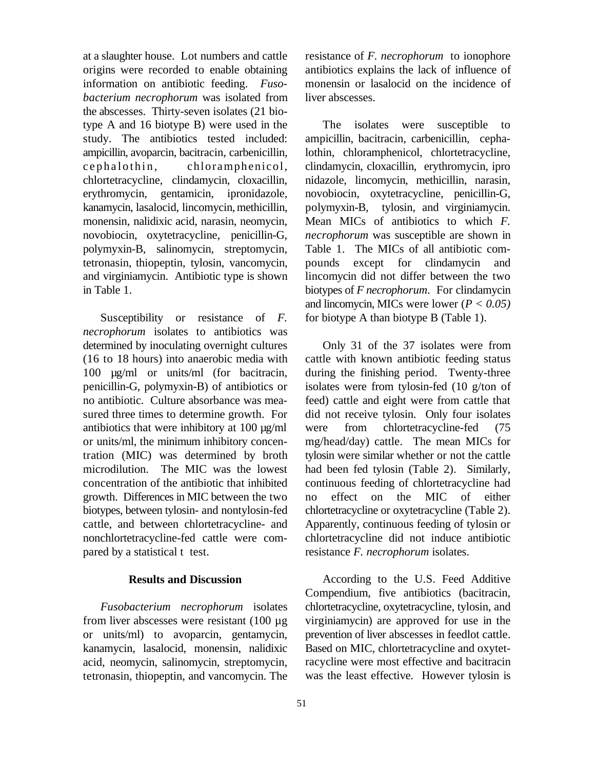origins were recorded to enable obtaining antibiotics explains the lack of influence of information on antibiotic feeding. *Fuso-* monensin or lasalocid on the incidence of *bacterium necrophorum* was isolated from liver abscesses. the abscesses. Thirty-seven isolates (21 biotype A and 16 biotype B) were used in the The isolates were susceptible to study. The antibiotics tested included: ampicillin, bacitracin, carbenicillin, cephaampicillin, avoparcin, bacitracin, carbenicillin, lothin, chloramphenicol, chlortetracycline, cephalothin, chloramphenicol, clindamycin, cloxacillin, erythromycin, ipro chlortetracycline, clindamycin, cloxacillin, nidazole, lincomycin, methicillin, narasin, erythromycin, gentamicin, ipronidazole, novobiocin, oxytetracycline, penicillin-G, kanamycin, lasalocid, lincomycin, methicillin, polymyxin-B, tylosin, and virginiamycin.<br>monensin, nalidixic acid, narasin, neomycin. Mean MICs of antibiotics to which F. monensin, nalidixic acid, narasin, neomycin, novobiocin, oxytetracycline, penicillin-G, *necrophorum* was susceptible are shown in polymyxin-B, salinomycin, streptomycin, Table 1. The MICs of all antibiotic comtetronasin, thiopeptin, tylosin, vancomycin, pounds except for clindamycin and and virginiamycin. Antibiotic type is shown lincomycin did not differ between the two in Table 1. biotypes of *F necrophorum*. For clindamycin

*necrophorum* isolates to antibiotics was determined by inoculating overnight cultures Only 31 of the 37 isolates were from (16 to 18 hours) into anaerobic media with cattle with known antibiotic feeding status 100  $\mu$ g/ml or units/ml (for bacitracin, during the finishing period. Twenty-three penicillin-G, polymyxin-B) of antibiotics or isolates were from tylosin-fed (10 g/ton of penicillin-G, polymyxin-B) of antibiotics or no antibiotic. Culture absorbance was mea- feed) cattle and eight were from cattle that sured three times to determine growth. For did not receive tylosin. Only four isolates antibiotics that were inhibitory at 100 µg/ml were from chlortetracycline-fed (75 or units/ml, the minimum inhibitory concen- mg/head/day) cattle. The mean MICs for tration (MIC) was determined by broth tylosin were similar whether or not the cattle microdilution. The MIC was the lowest had been fed tylosin (Table 2). Similarly, concentration of the antibiotic that inhibited continuous feeding of chlortetracycline had growth. Differences in MIC between the two no effect on the MIC of either biotypes, between tylosin- and nontylosin-fed chlortetracycline or oxytetracycline (Table 2). cattle, and between chlortetracycline- and Apparently, continuous feeding of tylosin or nonchlortetracycline-fed cattle were com- chlortetracycline did not induce antibiotic pared by a statistical t test. resistance *F. necrophorum* isolates.

#### **Results and Discussion**

kanamycin, lasalocid, monensin, nalidixic acid, neomycin, salinomycin, streptomycin, tetronasin, thiopeptin, and vancomycin. The

at a slaughter house. Lot numbers and cattle resistance of *F. necrophorum* to ionophore

Susceptibility or resistance of *F*. for biotype A than biotype B (Table 1). and lincomycin, MICs were lower  $(P < 0.05)$ 

cattle with known antibiotic feeding status

*Fusobacterium necrophorum* isolates chlortetracycline, oxytetracycline, tylosin, and from liver abscesses were resistant  $(100 \mu g$  virginiamycin) are approved for use in the or units/ml) to avoparcin, gentamycin, prevention of liver abscesses in feedlot cattle. According to the U.S. Feed Additive Compendium, five antibiotics (bacitracin, Based on MIC, chlortetracycline and oxytetracycline were most effective and bacitracin was the least effective. However tylosin is